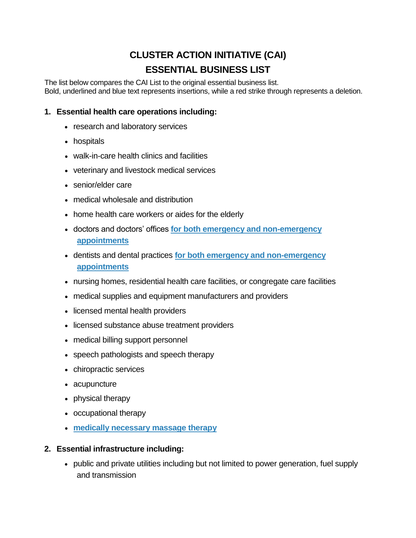# **CLUSTER ACTION INITIATIVE (CAI) ESSENTIAL BUSINESS LIST**

The list below compares the CAI List to the original essential business list. Bold, underlined and blue text represents insertions, while a red strike through represents a deletion.

# **1. Essential health care operations including:**

- research and laboratory services
- hospitals
- walk-in-care health clinics and facilities
- veterinary and livestock medical services
- senior/elder care
- medical wholesale and distribution
- home health care workers or aides for the elderly
- doctors and doctors' offices **for both emergency and non-emergency appointments**
- dentists and dental practices **for both emergency and non-emergency appointments**
- nursing homes, residential health care facilities, or congregate care facilities
- medical supplies and equipment manufacturers and providers
- licensed mental health providers
- licensed substance abuse treatment providers
- medical billing support personnel
- speech pathologists and speech therapy
- chiropractic services
- acupuncture
- physical therapy
- occupational therapy
- **medically necessary massage therapy**

## **2. Essential infrastructure including:**

 public and private utilities including but not limited to power generation, fuel supply and transmission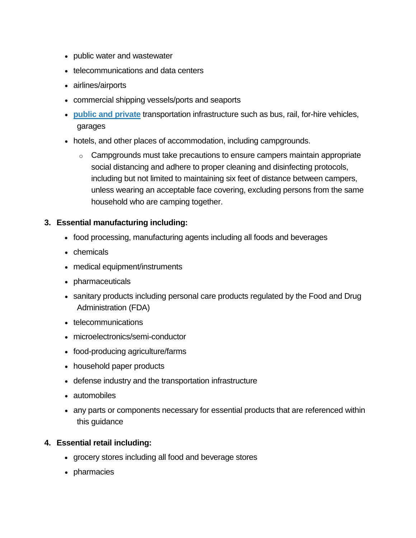- public water and wastewater
- telecommunications and data centers
- airlines/airports
- commercial shipping vessels/ports and seaports
- **public and private** transportation infrastructure such as bus, rail, for-hire vehicles, garages
- hotels, and other places of accommodation, including campgrounds.
	- $\circ$  Campgrounds must take precautions to ensure campers maintain appropriate social distancing and adhere to proper cleaning and disinfecting protocols, including but not limited to maintaining six feet of distance between campers, unless wearing an acceptable face covering, excluding persons from the same household who are camping together.

## **3. Essential manufacturing including:**

- food processing, manufacturing agents including all foods and beverages
- chemicals
- medical equipment/instruments
- pharmaceuticals
- sanitary products including personal care products regulated by the Food and Drug Administration (FDA)
- telecommunications
- microelectronics/semi-conductor
- food-producing agriculture/farms
- household paper products
- defense industry and the transportation infrastructure
- automobiles
- any parts or components necessary for essential products that are referenced within this guidance

#### **4. Essential retail including:**

- grocery stores including all food and beverage stores
- pharmacies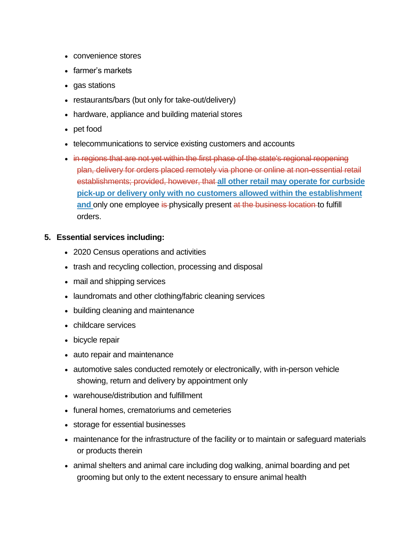- convenience stores
- farmer's markets
- gas stations
- restaurants/bars (but only for take-out/delivery)
- hardware, appliance and building material stores
- pet food
- telecommunications to service existing customers and accounts
- in regions that are not yet within the first phase of the state's regional reopening plan, delivery for orders placed remotely via phone or online at non-essential retail establishments; provided, however, that **all other retail may operate for curbside pick-up or delivery only with no customers allowed within the establishment and** only one employee is physically present at the business location to fulfill orders.

## **5. Essential services including:**

- 2020 Census operations and activities
- trash and recycling collection, processing and disposal
- mail and shipping services
- laundromats and other clothing/fabric cleaning services
- building cleaning and maintenance
- childcare services
- bicycle repair
- auto repair and maintenance
- automotive sales conducted remotely or electronically, with in-person vehicle showing, return and delivery by appointment only
- warehouse/distribution and fulfillment
- funeral homes, crematoriums and cemeteries
- storage for essential businesses
- maintenance for the infrastructure of the facility or to maintain or safeguard materials or products therein
- animal shelters and animal care including dog walking, animal boarding and pet grooming but only to the extent necessary to ensure animal health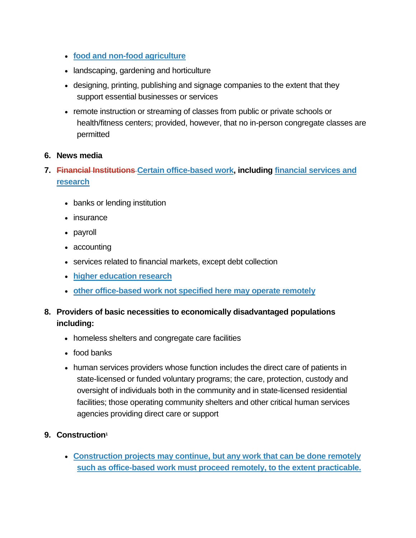- **food and non-food agriculture**
- landscaping, gardening and horticulture
- designing, printing, publishing and signage companies to the extent that they support essential businesses or services
- remote instruction or streaming of classes from public or private schools or health/fitness centers; provided, however, that no in-person congregate classes are permitted

#### **6. News media**

- **7. Financial Institutions Certain office-based work, including financial services and research**
	- banks or lending institution
	- insurance
	- payroll
	- accounting
	- services related to financial markets, except debt collection
	- **higher education research**
	- **other office-based work not specified here may operate remotely**
- **8. Providers of basic necessities to economically disadvantaged populations including:**
	- homeless shelters and congregate care facilities
	- food banks
	- human services providers whose function includes the direct care of patients in state-licensed or funded voluntary programs; the care, protection, custody and oversight of individuals both in the community and in state-licensed residential facilities; those operating community shelters and other critical human services agencies providing direct care or support
- **9. Construction<sup>1</sup>**
	- **Construction projects may continue, but any work that can be done remotely such as office-based work must proceed remotely, to the extent practicable.**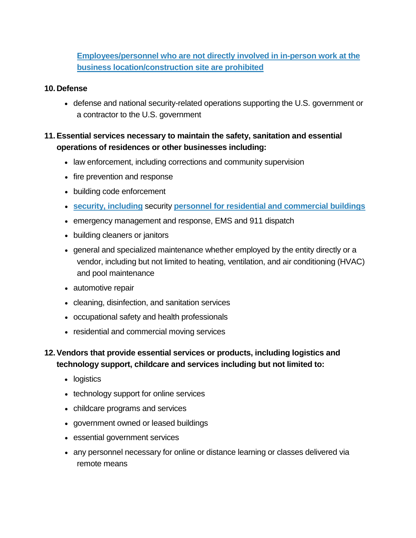**Employees/personnel who are not directly involved in in-person work at the business location/construction site are prohibited**

#### **10.Defense**

 defense and national security-related operations supporting the U.S. government or a contractor to the U.S. government

# **11.Essential services necessary to maintain the safety, sanitation and essential operations of residences or other businesses including:**

- law enforcement, including corrections and community supervision
- fire prevention and response
- building code enforcement
- **security, including** security **personnel for residential and commercial buildings**
- emergency management and response, EMS and 911 dispatch
- building cleaners or janitors
- general and specialized maintenance whether employed by the entity directly or a vendor, including but not limited to heating, ventilation, and air conditioning (HVAC) and pool maintenance
- automotive repair
- cleaning, disinfection, and sanitation services
- occupational safety and health professionals
- residential and commercial moving services

# **12.Vendors that provide essential services or products, including logistics and technology support, childcare and services including but not limited to:**

- logistics
- technology support for online services
- childcare programs and services
- government owned or leased buildings
- essential government services
- any personnel necessary for online or distance learning or classes delivered via remote means